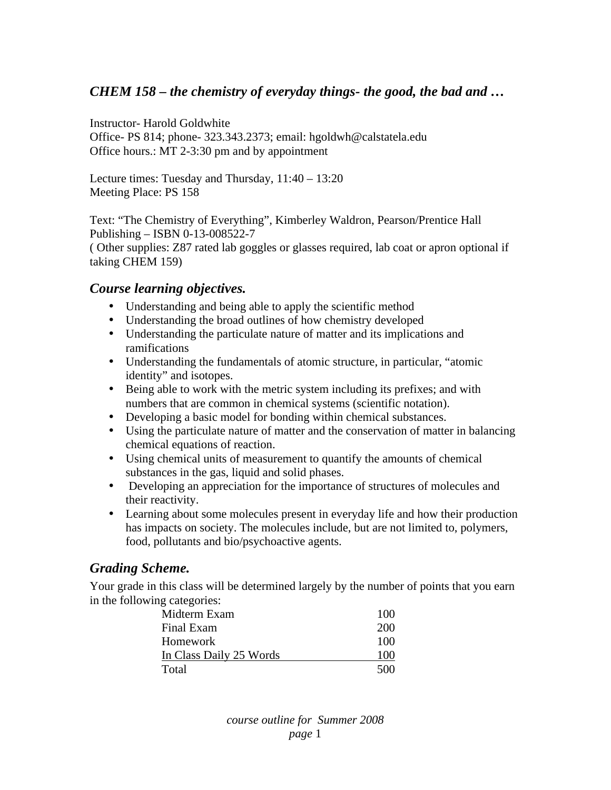## *CHEM 158 – the chemistry of everyday things- the good, the bad and …*

Instructor- Harold Goldwhite

Office- PS 814; phone- 323.343.2373; email: hgoldwh@calstatela.edu Office hours.: MT 2-3:30 pm and by appointment

Lecture times: Tuesday and Thursday, 11:40 – 13:20 Meeting Place: PS 158

Text: "The Chemistry of Everything", Kimberley Waldron, Pearson/Prentice Hall Publishing – ISBN 0-13-008522-7 ( Other supplies: Z87 rated lab goggles or glasses required, lab coat or apron optional if taking CHEM 159)

#### *Course learning objectives.*

- Understanding and being able to apply the scientific method
- Understanding the broad outlines of how chemistry developed
- Understanding the particulate nature of matter and its implications and ramifications
- Understanding the fundamentals of atomic structure, in particular, "atomic identity" and isotopes.
- Being able to work with the metric system including its prefixes; and with numbers that are common in chemical systems (scientific notation).
- Developing a basic model for bonding within chemical substances.
- Using the particulate nature of matter and the conservation of matter in balancing chemical equations of reaction.
- Using chemical units of measurement to quantify the amounts of chemical substances in the gas, liquid and solid phases.
- Developing an appreciation for the importance of structures of molecules and their reactivity.
- Learning about some molecules present in everyday life and how their production has impacts on society. The molecules include, but are not limited to, polymers, food, pollutants and bio/psychoactive agents.

### *Grading Scheme.*

Your grade in this class will be determined largely by the number of points that you earn in the following categories:

| Midterm Exam            | 100 |
|-------------------------|-----|
| Final Exam              | 200 |
| Homework                | 100 |
| In Class Daily 25 Words | 100 |
| Total                   | 500 |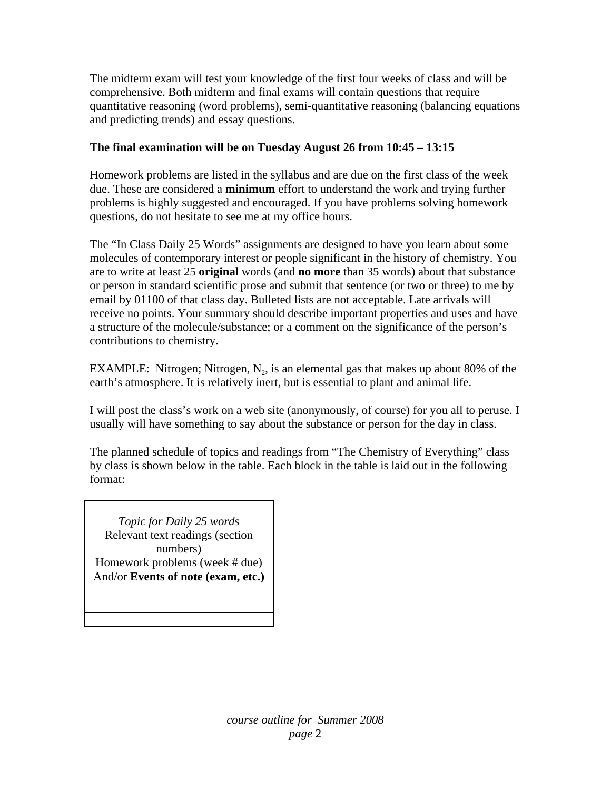The midterm exam will test your knowledge of the first four weeks of class and will be comprehensive. Both midterm and final exams will contain questions that require quantitative reasoning (word problems), semi-quantitative reasoning (balancing equations and predicting trends) and essay questions.

### **The final examination will be on Tuesday August 26 from 10:45 – 13:15**

Homework problems are listed in the syllabus and are due on the first class of the week due. These are considered a **minimum** effort to understand the work and trying further problems is highly suggested and encouraged. If you have problems solving homework questions, do not hesitate to see me at my office hours.

The "In Class Daily 25 Words" assignments are designed to have you learn about some molecules of contemporary interest or people significant in the history of chemistry. You are to write at least 25 **original** words (and **no more** than 35 words) about that substance or person in standard scientific prose and submit that sentence (or two or three) to me by email by 01100 of that class day. Bulleted lists are not acceptable. Late arrivals will receive no points. Your summary should describe important properties and uses and have a structure of the molecule/substance; or a comment on the significance of the person's contributions to chemistry.

EXAMPLE: Nitrogen; Nitrogen,  $N_2$ , is an elemental gas that makes up about 80% of the earth's atmosphere. It is relatively inert, but is essential to plant and animal life.

I will post the class's work on a web site (anonymously, of course) for you all to peruse. I usually will have something to say about the substance or person for the day in class.

The planned schedule of topics and readings from "The Chemistry of Everything" class by class is shown below in the table. Each block in the table is laid out in the following format:

*Topic for Daily 25 words*  Relevant text readings (section numbers) Homework problems (week # due) And/or **Events of note (exam, etc.)**